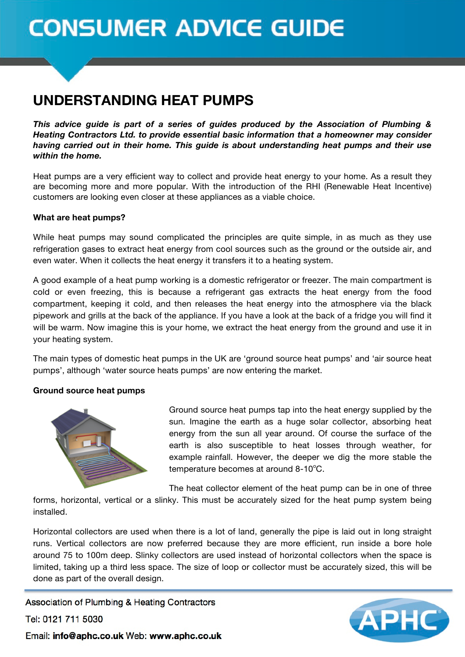# **CONSUMER ADVICE GUIDE**

## **UNDERSTANDING HEAT PUMPS**

*This advice guide is part of a series of guides produced by the Association of Plumbing & Heating Contractors Ltd. to provide essential basic information that a homeowner may consider having carried out in their home. This guide is about understanding heat pumps and their use within the home.*

Heat pumps are a very efficient way to collect and provide heat energy to your home. As a result they are becoming more and more popular. With the introduction of the RHI (Renewable Heat Incentive) customers are looking even closer at these appliances as a viable choice.

#### **What are heat pumps?**

While heat pumps may sound complicated the principles are quite simple, in as much as they use refrigeration gases to extract heat energy from cool sources such as the ground or the outside air, and even water. When it collects the heat energy it transfers it to a heating system.

A good example of a heat pump working is a domestic refrigerator or freezer. The main compartment is cold or even freezing, this is because a refrigerant gas extracts the heat energy from the food compartment, keeping it cold, and then releases the heat energy into the atmosphere via the black pipework and grills at the back of the appliance. If you have a look at the back of a fridge you will find it will be warm. Now imagine this is your home, we extract the heat energy from the ground and use it in your heating system.

The main types of domestic heat pumps in the UK are 'ground source heat pumps' and 'air source heat pumps', although 'water source heats pumps' are now entering the market.

#### **Ground source heat pumps**



Ground source heat pumps tap into the heat energy supplied by the sun. Imagine the earth as a huge solar collector, absorbing heat energy from the sun all year around. Of course the surface of the earth is also susceptible to heat losses through weather, for example rainfall. However, the deeper we dig the more stable the  $temperature$  becomes at around 8-10 $^{\circ}$ C.

The heat collector element of the heat pump can be in one of three

forms, horizontal, vertical or a slinky. This must be accurately sized for the heat pump system being installed.

Horizontal collectors are used when there is a lot of land, generally the pipe is laid out in long straight runs. Vertical collectors are now preferred because they are more efficient, run inside a bore hole around 75 to 100m deep. Slinky collectors are used instead of horizontal collectors when the space is limited, taking up a third less space. The size of loop or collector must be accurately sized, this will be done as part of the overall design.

Association of Plumbing & Heating Contractors Tel: 0121 711 5030



Email: info@aphc.co.uk Web: www.aphc.co.uk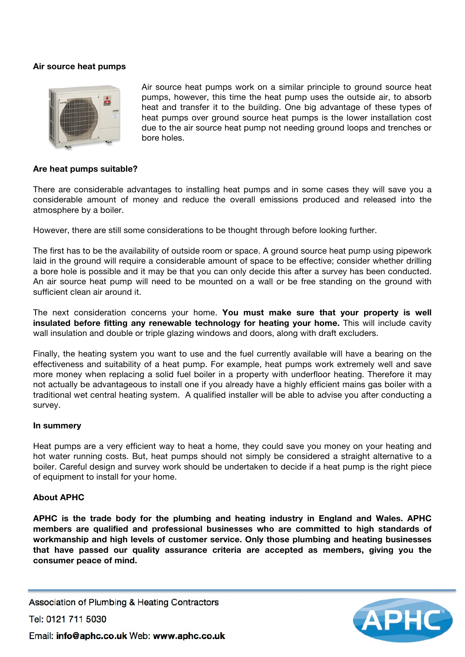#### **Air source heat pumps**



Air source heat pumps work on a similar principle to ground source heat pumps, however, this time the heat pump uses the outside air, to absorb heat and transfer it to the building. One big advantage of these types of heat pumps over ground source heat pumps is the lower installation cost due to the air source heat pump not needing ground loops and trenches or bore holes.

#### **Are heat pumps suitable?**

There are considerable advantages to installing heat pumps and in some cases they will save you a considerable amount of money and reduce the overall emissions produced and released into the atmosphere by a boiler.

However, there are still some considerations to be thought through before looking further.

The first has to be the availability of outside room or space. A ground source heat pump using pipework laid in the ground will require a considerable amount of space to be effective; consider whether drilling a bore hole is possible and it may be that you can only decide this after a survey has been conducted. An air source heat pump will need to be mounted on a wall or be free standing on the ground with sufficient clean air around it.

The next consideration concerns your home. **You must make sure that your property is well insulated before fitting any renewable technology for heating your home.** This will include cavity wall insulation and double or triple glazing windows and doors, along with draft excluders.

Finally, the heating system you want to use and the fuel currently available will have a bearing on the effectiveness and suitability of a heat pump. For example, heat pumps work extremely well and save more money when replacing a solid fuel boiler in a property with underfloor heating. Therefore it may not actually be advantageous to install one if you already have a highly efficient mains gas boiler with a traditional wet central heating system. A qualified installer will be able to advise you after conducting a survey.

#### **In summery**

Heat pumps are a very efficient way to heat a home, they could save you money on your heating and hot water running costs. But, heat pumps should not simply be considered a straight alternative to a boiler. Careful design and survey work should be undertaken to decide if a heat pump is the right piece of equipment to install for your home.

#### **About APHC**

**APHC is the trade body for the plumbing and heating industry in England and Wales. APHC members are qualified and professional businesses who are committed to high standards of workmanship and high levels of customer service. Only those plumbing and heating businesses that have passed our quality assurance criteria are accepted as members, giving you the consumer peace of mind.**

Association of Plumbing & Heating Contractors

Tel: 0121 711 5030



Email: info@aphc.co.uk Web: www.aphc.co.uk